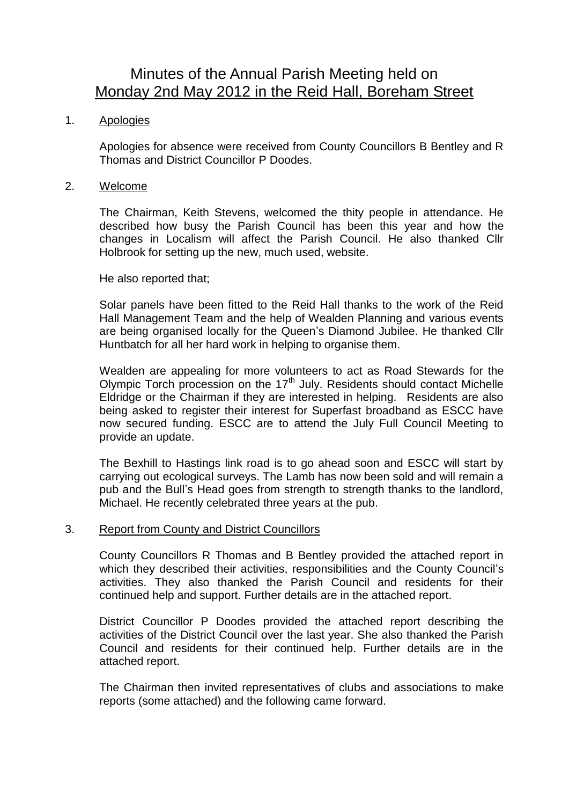# Minutes of the Annual Parish Meeting held on Monday 2nd May 2012 in the Reid Hall, Boreham Street

## 1. Apologies

Apologies for absence were received from County Councillors B Bentley and R Thomas and District Councillor P Doodes.

#### 2. Welcome

The Chairman, Keith Stevens, welcomed the thity people in attendance. He described how busy the Parish Council has been this year and how the changes in Localism will affect the Parish Council. He also thanked Cllr Holbrook for setting up the new, much used, website.

## He also reported that;

Solar panels have been fitted to the Reid Hall thanks to the work of the Reid Hall Management Team and the help of Wealden Planning and various events are being organised locally for the Queen's Diamond Jubilee. He thanked Cllr Huntbatch for all her hard work in helping to organise them.

Wealden are appealing for more volunteers to act as Road Stewards for the Olympic Torch procession on the 17<sup>th</sup> July. Residents should contact Michelle Eldridge or the Chairman if they are interested in helping. Residents are also being asked to register their interest for Superfast broadband as ESCC have now secured funding. ESCC are to attend the July Full Council Meeting to provide an update.

The Bexhill to Hastings link road is to go ahead soon and ESCC will start by carrying out ecological surveys. The Lamb has now been sold and will remain a pub and the Bull's Head goes from strength to strength thanks to the landlord, Michael. He recently celebrated three years at the pub.

#### 3. Report from County and District Councillors

County Councillors R Thomas and B Bentley provided the attached report in which they described their activities, responsibilities and the County Council's activities. They also thanked the Parish Council and residents for their continued help and support. Further details are in the attached report.

District Councillor P Doodes provided the attached report describing the activities of the District Council over the last year. She also thanked the Parish Council and residents for their continued help. Further details are in the attached report.

The Chairman then invited representatives of clubs and associations to make reports (some attached) and the following came forward.